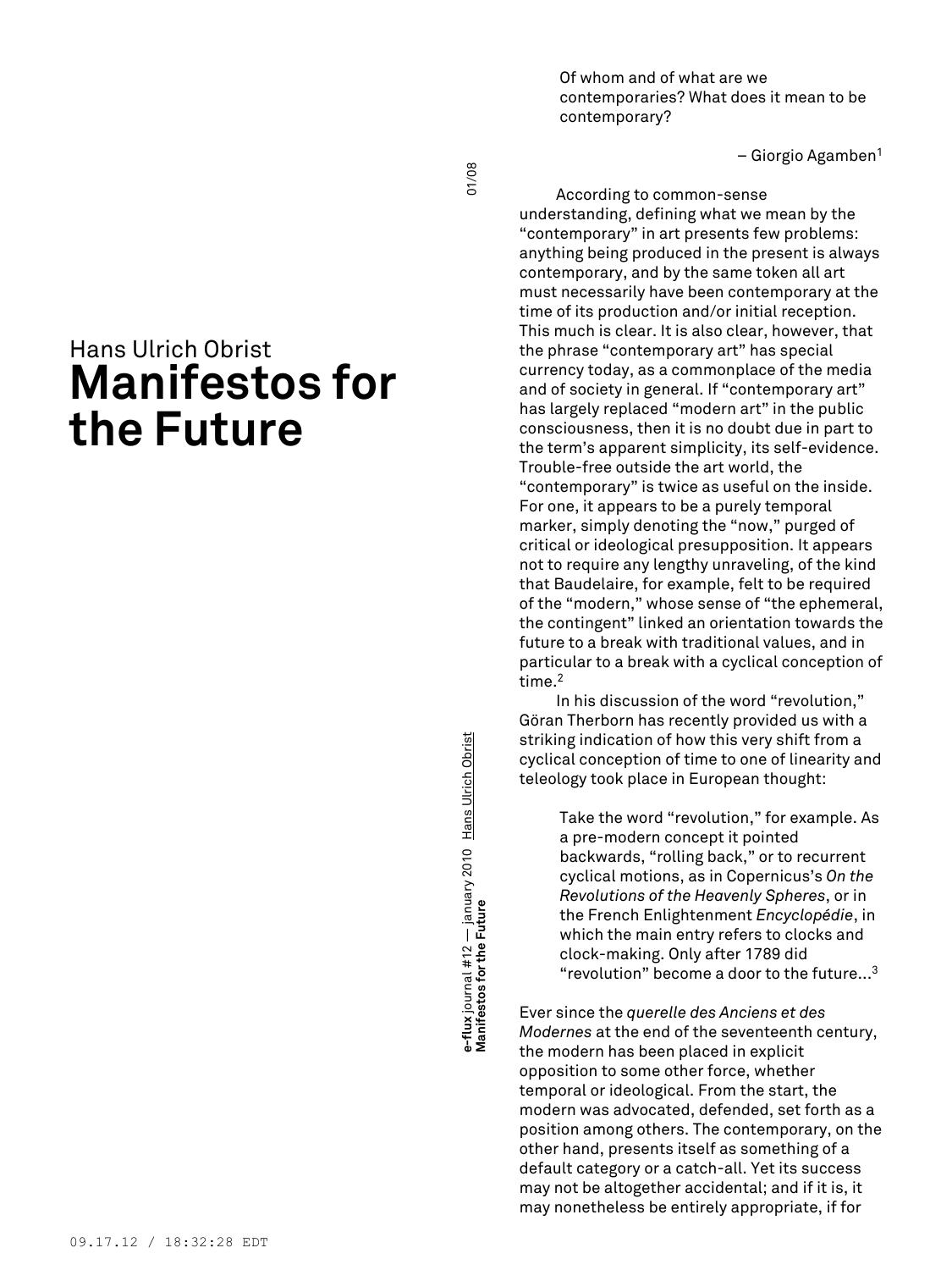Of whom and of what are we contemporaries? What does it mean to be contemporary?

– Giorgio Agamben<sup>1</sup>

According to common-sense understanding, defining what we mean by the "contemporary" in art presents few problems: anything being produced in the present is always contemporary, and by the same token all art must necessarily have been contemporary at the time of its production and/or initial reception. This much is clear. It is also clear, however, that the phrase "contemporary art" has special currency today, as a commonplace of the media and of society in general. If "contemporary art" has largely replaced "modern art" in the public consciousness, then it is no doubt due in part to the term's apparent simplicity, its self-evidence. Trouble-free outside the art world, the "contemporary" is twice as useful on the inside. For one, it appears to be a purely temporal marker, simply denoting the "now," purged of critical or ideological presupposition. It appears not to require any lengthy unraveling, of the kind that Baudelaire, for example, felt to be required of the "modern," whose sense of "the ephemeral, the contingent" linked an orientation towards the future to a break with traditional values, and in particular to a break with a cyclical conception of time. 2

In his discussion of the word "revolution," Göran Therborn has recently provided us with a striking indication of how this very shift from a cyclical conception of time to one of linearity and teleology took place in European thought:

> Take the word "revolution," for example. As a pre-modern concept it pointed backwards, "rolling back," or to recurrent cyclical motions, as in Copernicus's *On the Revolutions of the Heavenly Spheres*, or in the French Enlightenment *Encyclopédie*, in which the main entry refers to clocks and clock-making. Only after 1789 did "revolution" become a door to the future... 3

Ever since the *querelle des Anciens et des Modernes* at the end of the seventeenth century, the modern has been placed in explicit opposition to some other force, whether temporal or ideological. From the start, the modern was advocated, defended, set forth as a position among others. The contemporary, on the other hand, presents itself as something of a default category or a catch-all. Yet its success may not be altogether accidental; and if it is, it may nonetheless be entirely appropriate, if for

# Hans Ulrich Obrist **Manifestos for the Future**

**Manifestos for the Future** 01/08 e-flux journal #12 — january 2010 <u>Hans Ulrich Obrist</u><br>Manifestos for the Future **e-flux** journal #12 — january 2010 Hans Ulrich Obrist

01/08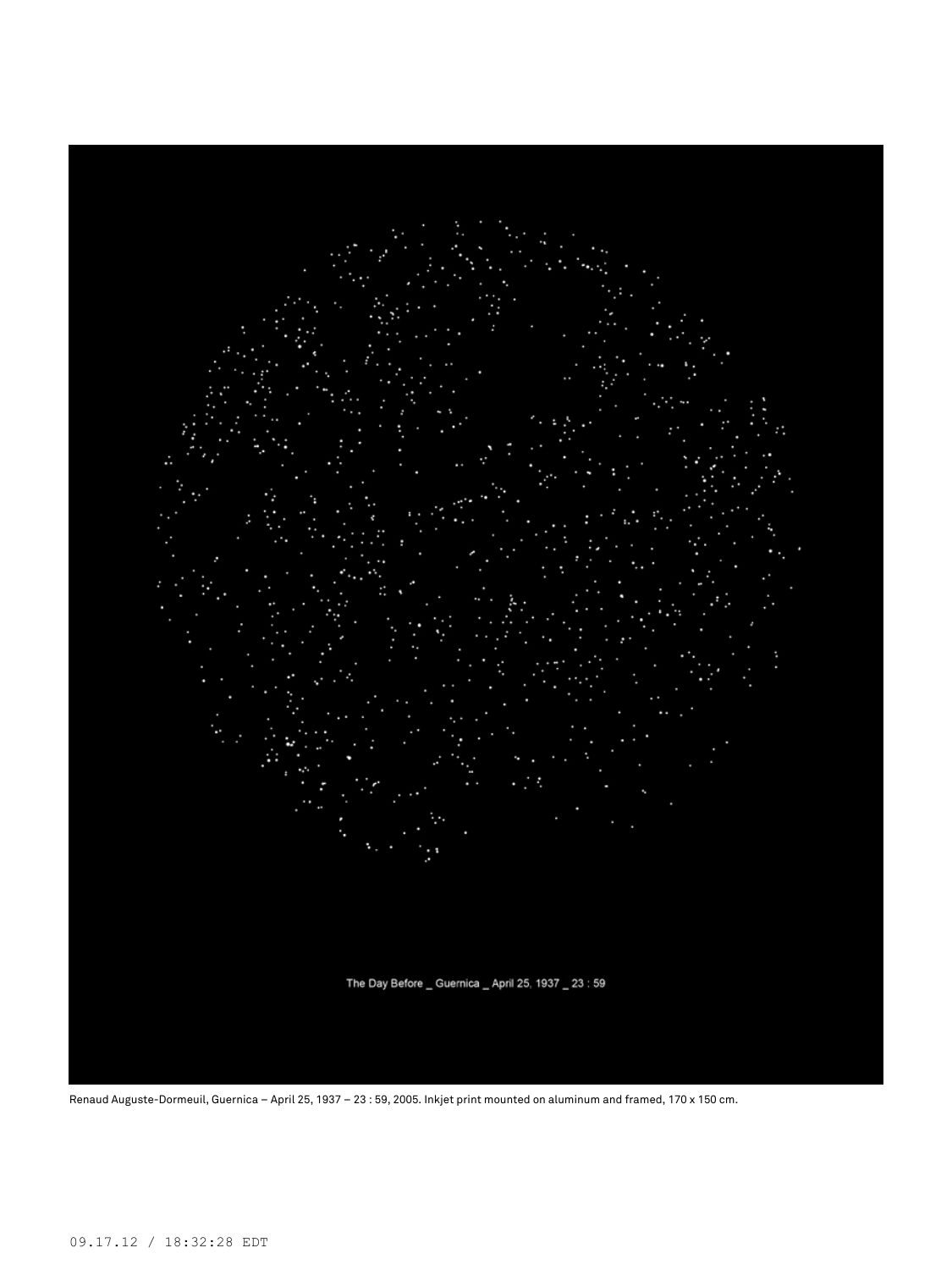

Renaud Auguste-Dormeuil, Guernica – April 25, 1937 – 23 : 59, 2005. Inkjet print mounted on aluminum and framed, 170 x 150 cm.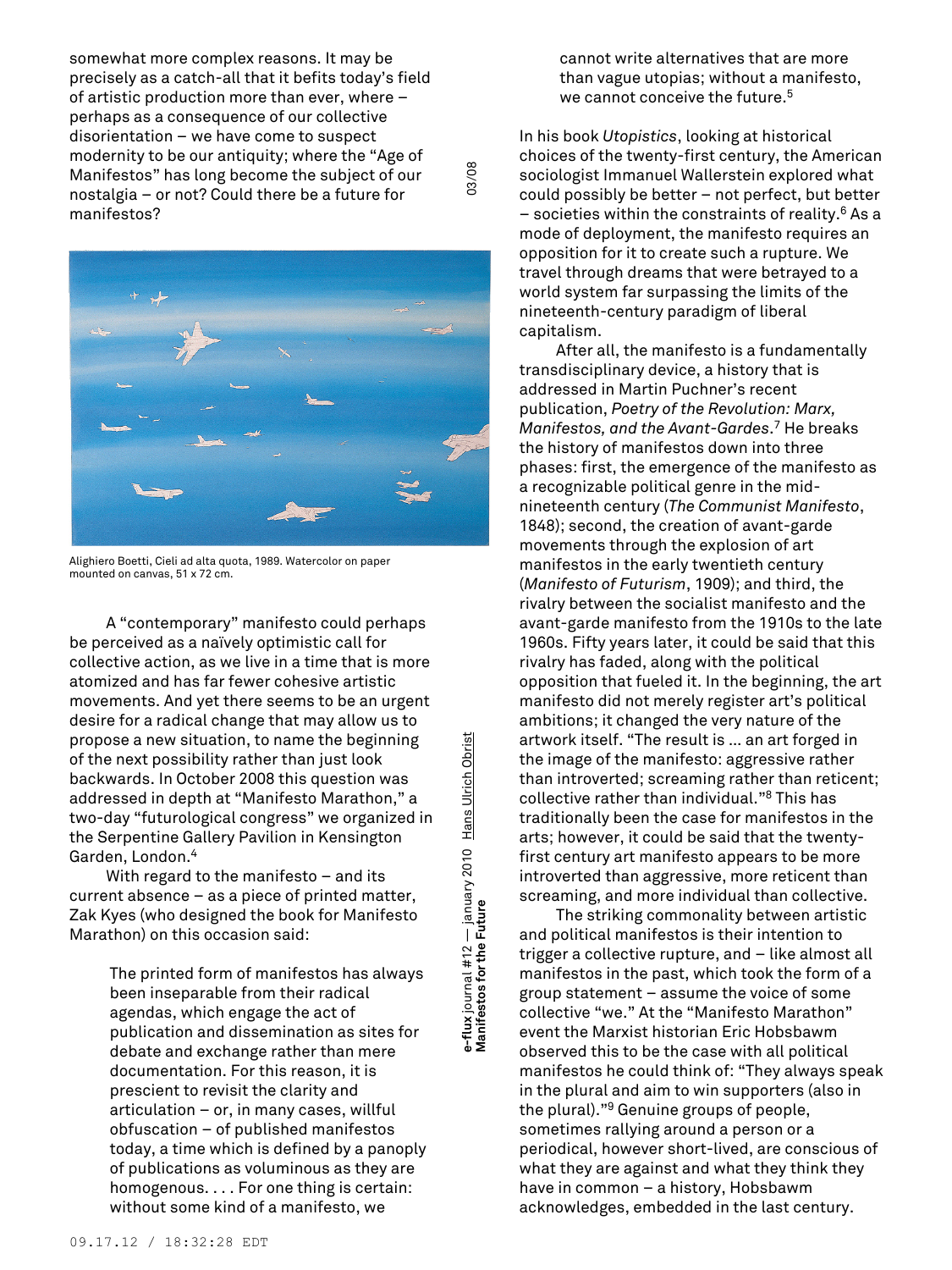somewhat more complex reasons. It may be precisely as a catch-all that it befits today's field of artistic production more than ever, where – perhaps as a consequence of our collective disorientation – we have come to suspect modernity to be our antiquity; where the "Age of Manifestos" has long become the subject of our nostalgia – or not? Could there be a future for manifestos?

**Manifestos for the Future** 03/08

Alighiero Boetti, Cieli ad alta quota, 1989. Watercolor on paper mounted on canvas, 51 x 72 cm.

A "contemporary" manifesto could perhaps be perceived as a naïvely optimistic call for collective action, as we live in a time that is more atomized and has far fewer cohesive artistic movements. And yet there seems to be an urgent desire for a radical change that may allow us to propose a new situation, to name the beginning of the next possibility rather than just look backwards. In October 2008 this question was addressed in depth at "Manifesto Marathon," a two-day "futurological congress" we organized in the Serpentine Gallery Pavilion in Kensington Garden, London. 4

With regard to the manifesto – and its current absence – as a piece of printed matter, Zak Kyes (who designed the book for Manifesto Marathon) on this occasion said:

> The printed form of manifestos has always been inseparable from their radical agendas, which engage the act of publication and dissemination as sites for debate and exchange rather than mere documentation. For this reason, it is prescient to revisit the clarity and articulation – or, in many cases, willful obfuscation – of published manifestos today, a time which is defined by a panoply of publications as voluminous as they are homogenous. . . . For one thing is certain: without some kind of a manifesto, we

e-flux journal #12 — january 2010 <u>Hans Ulrich Obrist</u><br>Manifestos for the Future **e-flux** journal #12 — january 2010 Hans Ulrich Obrist

03/08

cannot write alternatives that are more than vague utopias; without a manifesto, we cannot conceive the future. 5

In his book *Utopistics*, looking at historical choices of the twenty-first century, the American sociologist Immanuel Wallerstein explored what could possibly be better – not perfect, but better – societies within the constraints of reality. <sup>6</sup> As a mode of deployment, the manifesto requires an opposition for it to create such a rupture. We travel through dreams that were betrayed to a world system far surpassing the limits of the nineteenth-century paradigm of liberal capitalism.

After all, the manifesto is a fundamentally transdisciplinary device, a history that is addressed in Martin Puchner's recent publication, *Poetry of the Revolution: Marx, Manifestos, and the Avant-Gardes*. <sup>7</sup> He breaks the history of manifestos down into three phases: first, the emergence of the manifesto as a recognizable political genre in the midnineteenth century (*The Communist Manifesto*, 1848); second, the creation of avant-garde movements through the explosion of art manifestos in the early twentieth century (*Manifesto of Futurism*, 1909); and third, the rivalry between the socialist manifesto and the avant-garde manifesto from the 1910s to the late 1960s. Fifty years later, it could be said that this rivalry has faded, along with the political opposition that fueled it. In the beginning, the art manifesto did not merely register art's political ambitions; it changed the very nature of the artwork itself. "The result is … an art forged in the image of the manifesto: aggressive rather than introverted; screaming rather than reticent; collective rather than individual." <sup>8</sup> This has traditionally been the case for manifestos in the arts; however, it could be said that the twentyfirst century art manifesto appears to be more introverted than aggressive, more reticent than screaming, and more individual than collective.

The striking commonality between artistic and political manifestos is their intention to trigger a collective rupture, and – like almost all manifestos in the past, which took the form of a group statement – assume the voice of some collective "we." At the "Manifesto Marathon" event the Marxist historian Eric Hobsbawm observed this to be the case with all political manifestos he could think of: "They always speak in the plural and aim to win supporters (also in the plural)." <sup>9</sup> Genuine groups of people, sometimes rallying around a person or a periodical, however short-lived, are conscious of what they are against and what they think they have in common – a history, Hobsbawm acknowledges, embedded in the last century.

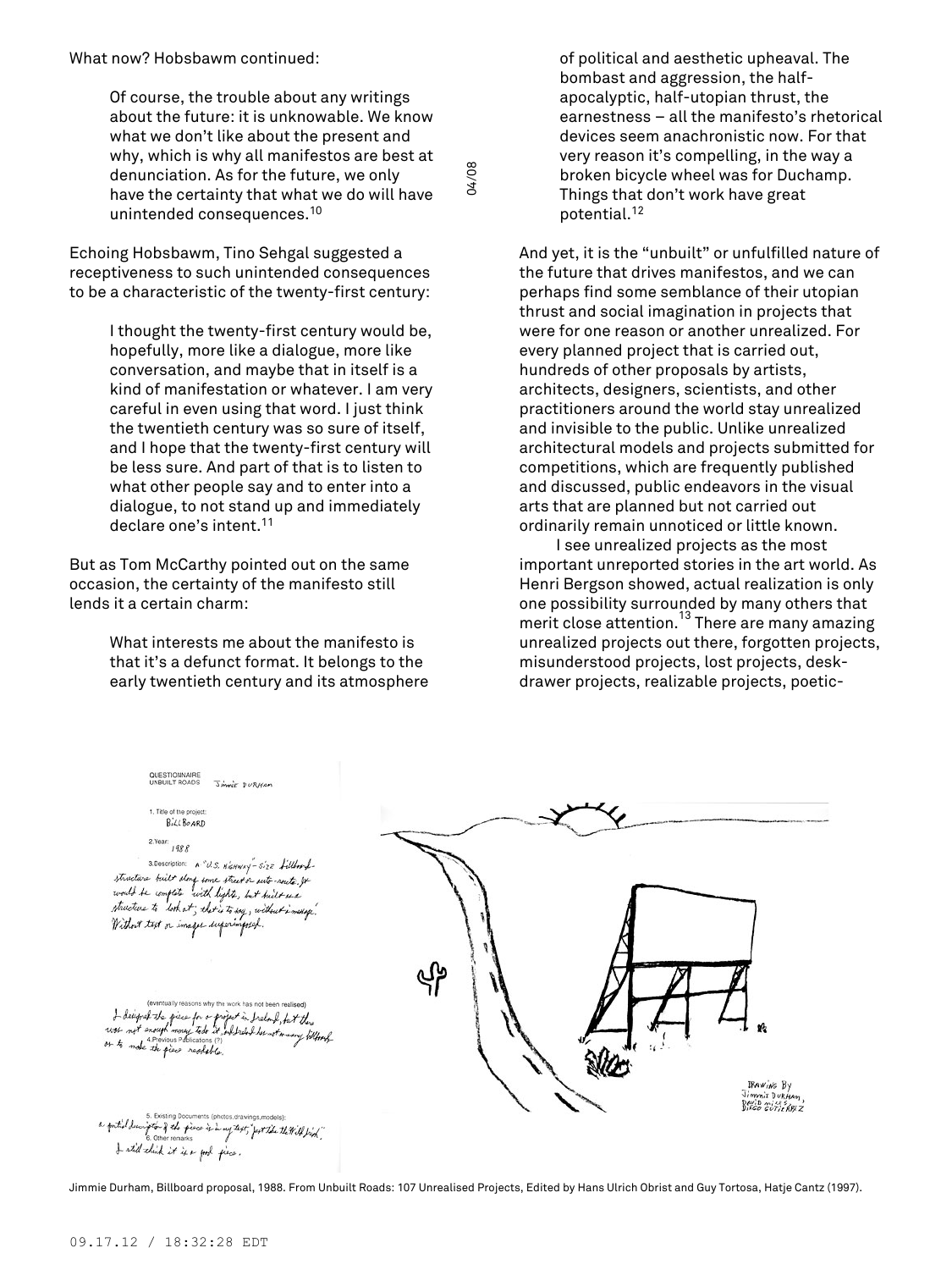What now? Hobsbawm continued:

Of course, the trouble about any writings about the future: it is unknowable. We know what we don't like about the present and why, which is why all manifestos are best at denunciation. As for the future, we only have the certainty that what we do will have unintended consequences. 10

Echoing Hobsbawm, Tino Sehgal suggested a receptiveness to such unintended consequences to be a characteristic of the twenty-first century:

> I thought the twenty-first century would be, hopefully, more like a dialogue, more like conversation, and maybe that in itself is a kind of manifestation or whatever. I am very careful in even using that word. I just think the twentieth century was so sure of itself, and I hope that the twenty-first century will be less sure. And part of that is to listen to what other people say and to enter into a dialogue, to not stand up and immediately declare one's intent. 11

But as Tom McCarthy pointed out on the same occasion, the certainty of the manifesto still lends it a certain charm:

> What interests me about the manifesto is that it's a defunct format. It belongs to the early twentieth century and its atmosphere

of political and aesthetic upheaval. The bombast and aggression, the halfapocalyptic, half-utopian thrust, the earnestness – all the manifesto's rhetorical devices seem anachronistic now. For that very reason it's compelling, in the way a broken bicycle wheel was for Duchamp. Things that don't work have great potential. 12

And yet, it is the "unbuilt" or unfulfilled nature of the future that drives manifestos, and we can perhaps find some semblance of their utopian thrust and social imagination in projects that were for one reason or another unrealized. For every planned project that is carried out, hundreds of other proposals by artists, architects, designers, scientists, and other practitioners around the world stay unrealized and invisible to the public. Unlike unrealized architectural models and projects submitted for competitions, which are frequently published and discussed, public endeavors in the visual arts that are planned but not carried out ordinarily remain unnoticed or little known.

I see unrealized projects as the most important unreported stories in the art world. As Henri Bergson showed, actual realization is only one possibility surrounded by many others that merit close attention.  $^{13}$  There are many amazing unrealized projects out there, forgotten projects, misunderstood projects, lost projects, deskdrawer projects, realizable projects, poetic-



04/08

Jimmie Durham, Billboard proposal, 1988. From Unbuilt Roads: 107 Unrealised Projects, Edited by Hans Ulrich Obrist and Guy Tortosa, Hatje Cantz (1997).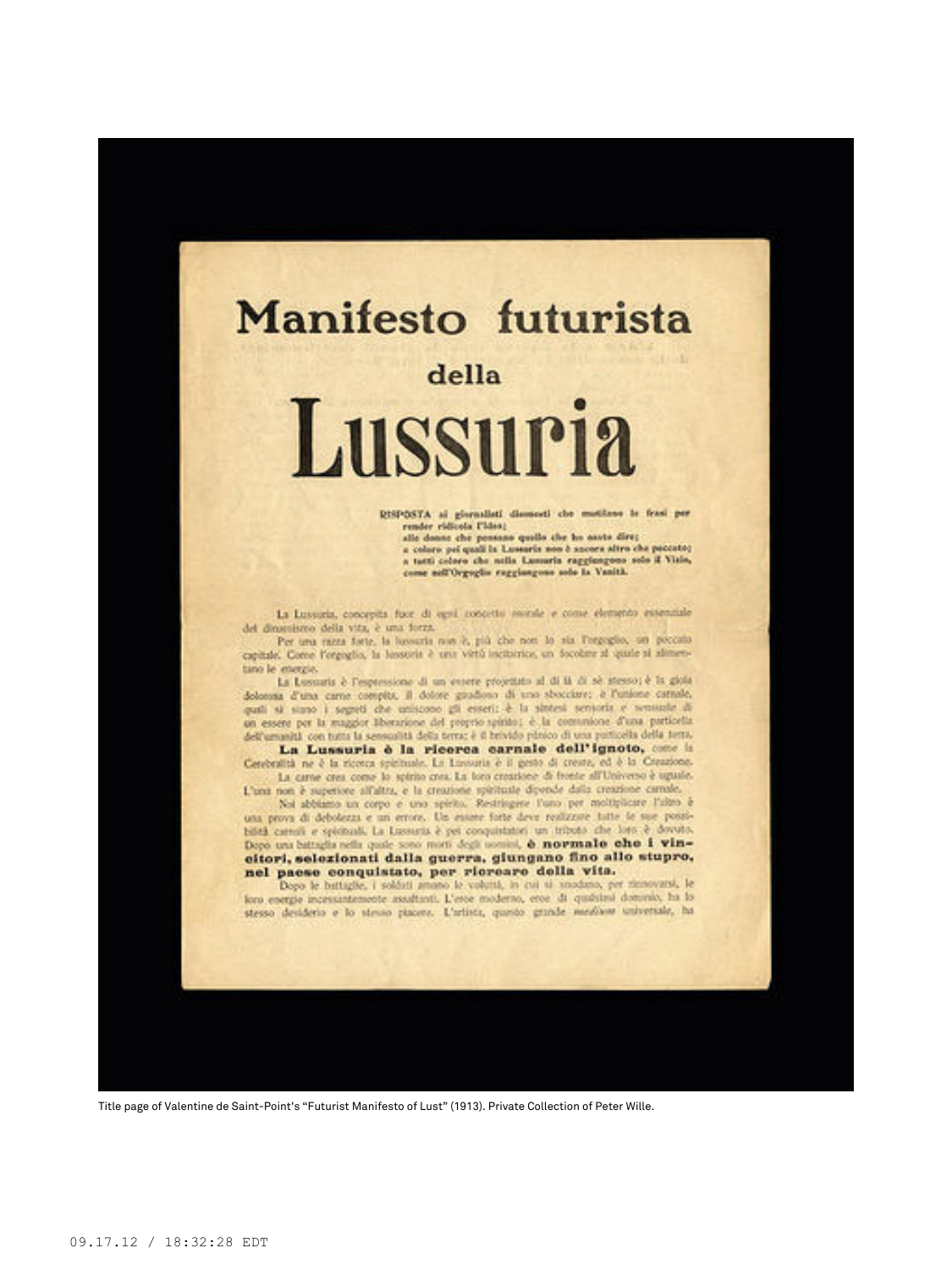# Manifesto futurista della Lussuria

RISPOSTA ai glaraslisti dissessi che matitano la frasi per render ridicols l'idea;

alle donne che possano quello che ha assis dire; a colore pei quali la Lussaria non è ancora sitro che peccato; a tatti celero che sella Lassaria raggiangono solo il Visia, come nell'Orgagine engglangena nole la Vanità.

La Lussoria, concepta fuor di quai concetto monde e come elemento essenziale del dinamismo della vita, è una forza.

Per una razza forte, la lussuria non è, più che non lo sia l'orgogio, un poccato capitale. Come l'orgoglio, la lussoria è una virtù incitatrice, un focolitte al quale si alimetitano le energie.

La Lussaria è l'espirazione di un essere propritto al di là di sè stesso; è la giola delensa d'una came complia. Il delote gatadoso di uno sbocciare; è l'unione cattale, quali si siano i segreti che uniscono gli esseri: è la sintesi sensoria e senssale di on essere per la maggior liberarione del proprio spirito; è la comunione d'una particella dell'amanità con tutta la sensualità della terra; è il brivido pinico di una patticella della terra.

La Lussuria è la ricerca carnale dell'ignoto, conchi Cerebralità ne è la ricotca spirituale. La Linsuria è il gesto di create, ed è la Cavazione. La came crea come lo spirito crea, La loro crearione di fronte all'Universo è upade.

L'una non è superiore all'altra, e la creazione spirituale dipende dalla creazione carraie, Not abbiamo un corpo e uno spirito. Restringere l'uno per moltiplicare l'altro è

una prova di debolezza e un errore. Un estere fotte deve realizzate tatte le sue possibileà camuli e spisituali. La Lussaria è pet conquisitatori un influto che loro è dovuto, Dopo una battaglia nella quale sono morti degli uomini, è novemale che i vincitori, selezionati dalla guerra, giungano fino allo stupro, nel paese conquistato, per rioreare della vita.

Dopo le battaglie, i solditti amono le voluttà, in cui si anodano, per rimnovarsi, le loro energie incessantemente assaltanti. L'este moderno, eroe di qualsimi dommio, ha lo stesso desiderio e lo stesso piacere. L'artista, questo grande suedosse universale, ha

Title page of Valentine de Saint-Point's "Futurist Manifesto of Lust" (1913). Private Collection of Peter Wille.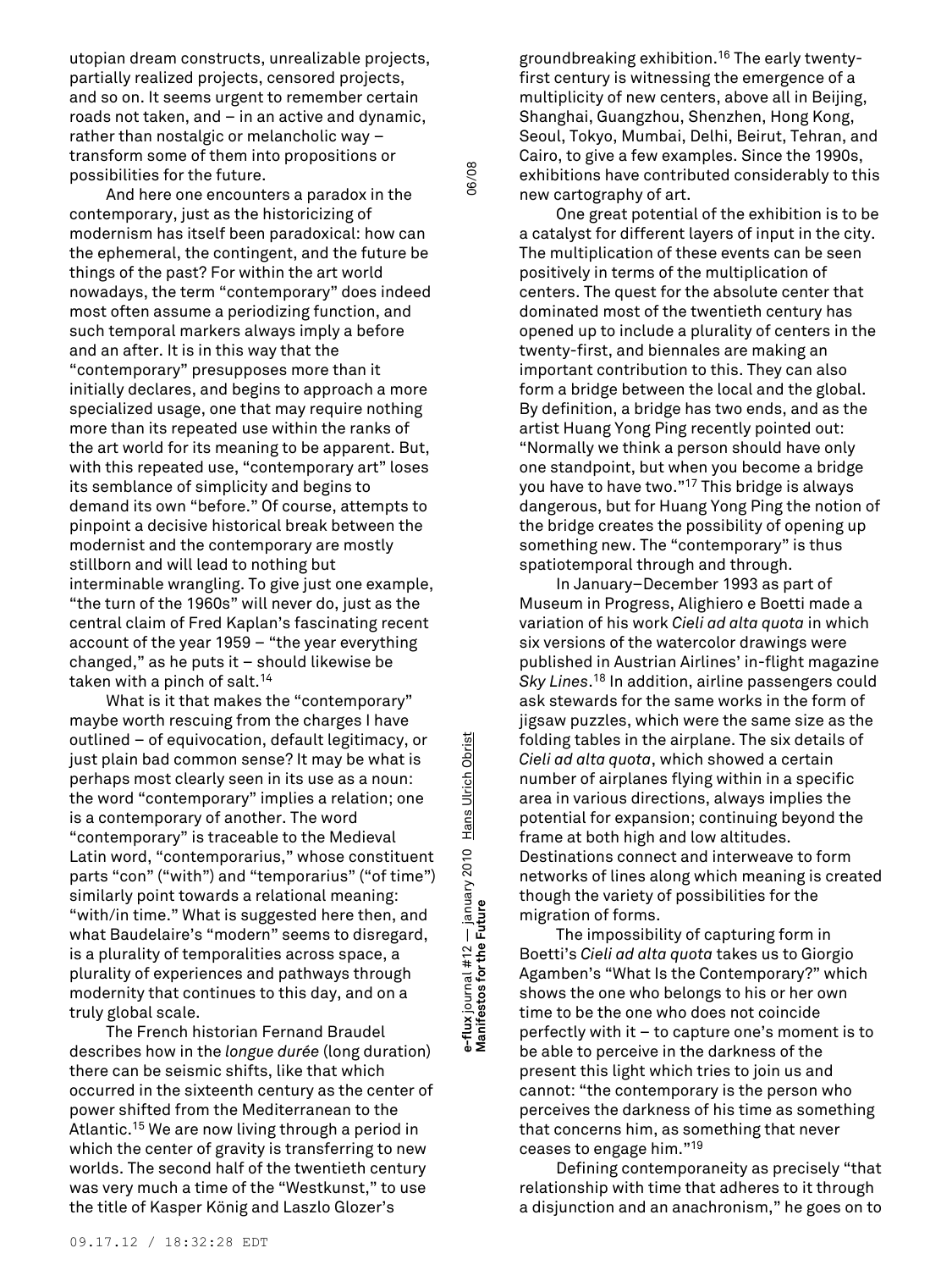utopian dream constructs, unrealizable projects, partially realized projects, censored projects, and so on. It seems urgent to remember certain roads not taken, and – in an active and dynamic, rather than nostalgic or melancholic way – transform some of them into propositions or possibilities for the future.

And here one encounters a paradox in the contemporary, just as the historicizing of modernism has itself been paradoxical: how can the ephemeral, the contingent, and the future be things of the past? For within the art world nowadays, the term "contemporary" does indeed most often assume a periodizing function, and such temporal markers always imply a before and an after. It is in this way that the "contemporary" presupposes more than it initially declares, and begins to approach a more specialized usage, one that may require nothing more than its repeated use within the ranks of the art world for its meaning to be apparent. But, with this repeated use, "contemporary art" loses its semblance of simplicity and begins to demand its own "before." Of course, attempts to pinpoint a decisive historical break between the modernist and the contemporary are mostly stillborn and will lead to nothing but interminable wrangling. To give just one example, "the turn of the 1960s" will never do, just as the central claim of Fred Kaplan's fascinating recent account of the year 1959 – "the year everything changed," as he puts it – should likewise be taken with a pinch of salt. 14

What is it that makes the "contemporary" maybe worth rescuing from the charges I have outlined – of equivocation, default legitimacy, or just plain bad common sense? It may be what is perhaps most clearly seen in its use as a noun: the word "contemporary" implies a relation; one is a contemporary of another. The word "contemporary" is traceable to the Medieval Latin word, "contemporarius," whose constituent parts "con" ("with") and "temporarius" ("of time") similarly point towards a relational meaning: "with/in time." What is suggested here then, and what Baudelaire's "modern" seems to disregard, is a plurality of temporalities across space, a plurality of experiences and pathways through modernity that continues to this day, and on a truly global scale.

The French historian Fernand Braudel describes how in the *longue durée* (long duration) there can be seismic shifts, like that which occurred in the sixteenth century as the center of power shifted from the Mediterranean to the Atlantic. <sup>15</sup> We are now living through a period in which the center of gravity is transferring to new worlds. The second half of the twentieth century was very much a time of the "Westkunst," to use the title of Kasper König and Laszlo Glozer's

**Manifestos for the Future** 06/08 e-flux journal #12 — january 2010 <u>Hans Ulrich Obrist</u><br>Manifestos for the Future **e-flux** journal #12 — january 2010 Hans Ulrich Obrist

06/08

groundbreaking exhibition. <sup>16</sup> The early twentyfirst century is witnessing the emergence of a multiplicity of new centers, above all in Beijing, Shanghai, Guangzhou, Shenzhen, Hong Kong, Seoul, Tokyo, Mumbai, Delhi, Beirut, Tehran, and Cairo, to give a few examples. Since the 1990s, exhibitions have contributed considerably to this new cartography of art.

One great potential of the exhibition is to be a catalyst for different layers of input in the city. The multiplication of these events can be seen positively in terms of the multiplication of centers. The quest for the absolute center that dominated most of the twentieth century has opened up to include a plurality of centers in the twenty-first, and biennales are making an important contribution to this. They can also form a bridge between the local and the global. By definition, a bridge has two ends, and as the artist Huang Yong Ping recently pointed out: "Normally we think a person should have only one standpoint, but when you become a bridge you have to have two." <sup>17</sup> This bridge is always dangerous, but for Huang Yong Ping the notion of the bridge creates the possibility of opening up something new. The "contemporary" is thus spatiotemporal through and through.

In January–December 1993 as part of Museum in Progress, Alighiero e Boetti made a variation of his work *Cieli ad alta quota* in which six versions of the watercolor drawings were published in Austrian Airlines' in-flight magazine *Sky Lines*. <sup>18</sup> In addition, airline passengers could ask stewards for the same works in the form of jigsaw puzzles, which were the same size as the folding tables in the airplane. The six details of *Cieli ad alta quota*, which showed a certain number of airplanes flying within in a specific area in various directions, always implies the potential for expansion; continuing beyond the frame at both high and low altitudes. Destinations connect and interweave to form networks of lines along which meaning is created though the variety of possibilities for the migration of forms.

The impossibility of capturing form in Boetti's *Cieli ad alta quota* takes us to Giorgio Agamben's "What Is the Contemporary?" which shows the one who belongs to his or her own time to be the one who does not coincide perfectly with it – to capture one's moment is to be able to perceive in the darkness of the present this light which tries to join us and cannot: "the contemporary is the person who perceives the darkness of his time as something that concerns him, as something that never ceases to engage him." 19

Defining contemporaneity as precisely "that relationship with time that adheres to it through a disjunction and an anachronism," he goes on to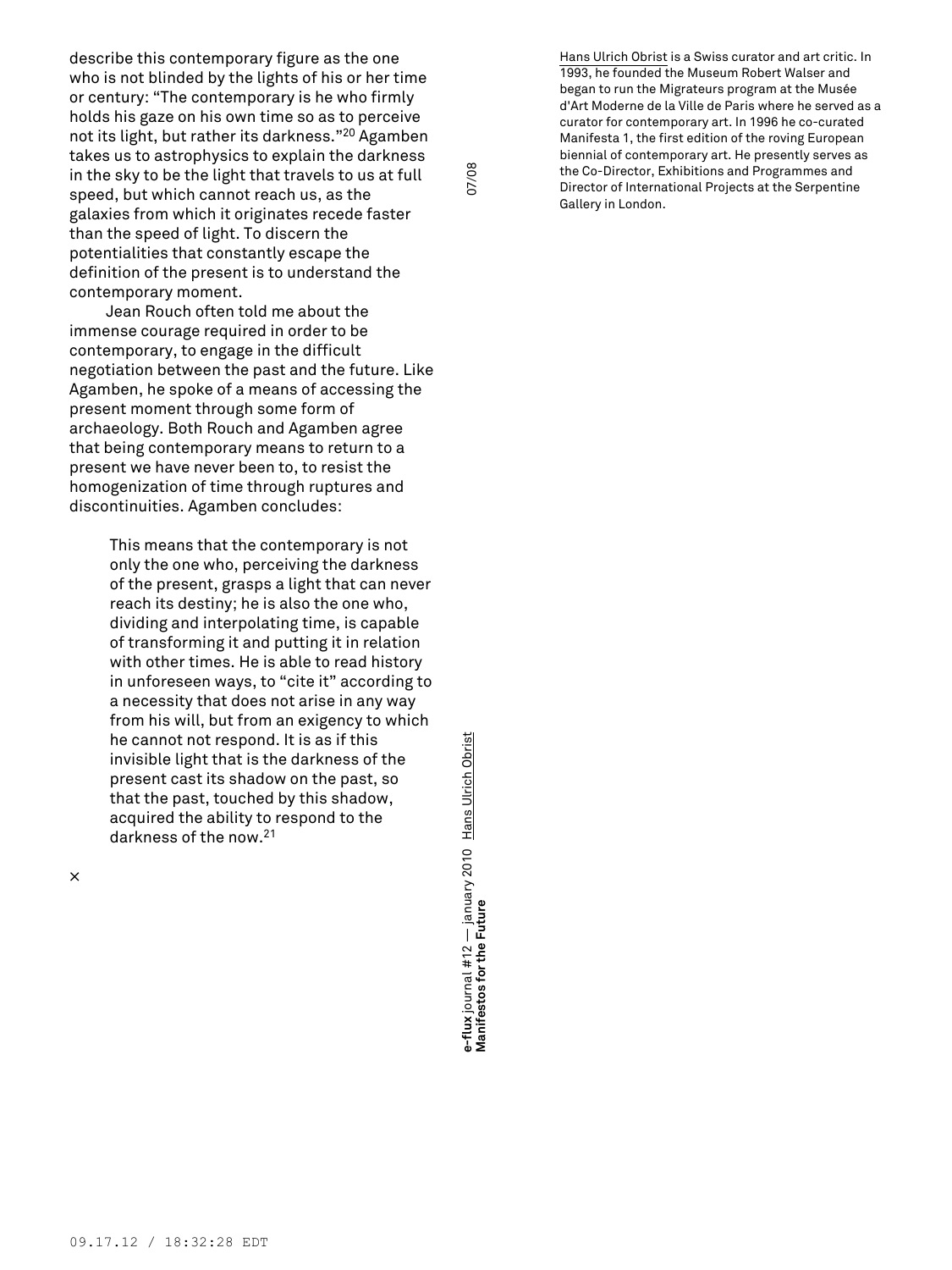describe this contemporary figure as the one who is not blinded by the lights of his or her time or century: "The contemporary is he who firmly holds his gaze on his own time so as to perceive not its light, but rather its darkness." <sup>20</sup> Agamben takes us to astrophysics to explain the darkness in the sky to be the light that travels to us at full speed, but which cannot reach us, as the galaxies from which it originates recede faster than the speed of light. To discern the potentialities that constantly escape the definition of the present is to understand the contemporary moment.

Jean Rouch often told me about the immense courage required in order to be contemporary, to engage in the difficult negotiation between the past and the future. Like Agamben, he spoke of a means of accessing the present moment through some form of archaeology. Both Rouch and Agamben agree that being contemporary means to return to a present we have never been to, to resist the homogenization of time through ruptures and discontinuities. Agamben concludes:

> This means that the contemporary is not only the one who, perceiving the darkness of the present, grasps a light that can never reach its destiny; he is also the one who, dividing and interpolating time, is capable of transforming it and putting it in relation with other times. He is able to read history in unforeseen ways, to "cite it" according to a necessity that does not arise in any way from his will, but from an exigency to which he cannot not respond. It is as if this invisible light that is the darkness of the present cast its shadow on the past, so that the past, touched by this shadow, acquired the ability to respond to the darkness of the now. 21

**Manifestos for the Future** 07/08 e-flux journal #12 — january 2010 <u>Hans Ulrich Obrist</u><br>Manifestos for the Future **e-flux** journal #12 — january 2010 Hans Ulrich Obrist

07/08

Hans Ulrich Obrist is a Swiss curator and art critic. In 1993, he founded the Museum Robert Walser and began to run the Migrateurs program at the Musée d'Art Moderne de la Ville de Paris where he served as a curator for contemporary art. In 1996 he co-curated Manifesta 1, the first edition of the roving European biennial of contemporary art. He presently serves as the Co-Director, Exhibitions and Programmes and Director of International Projects at the Serpentine Gallery in London.